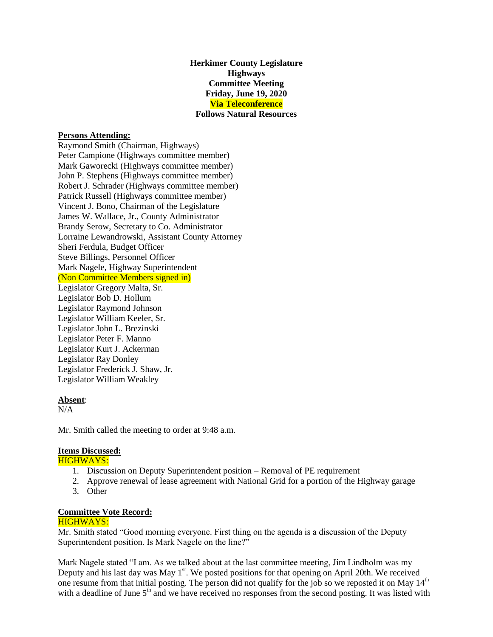**Herkimer County Legislature Highways Committee Meeting Friday, June 19, 2020 Via Teleconference Follows Natural Resources**

## **Persons Attending:**

Raymond Smith (Chairman, Highways) Peter Campione (Highways committee member) Mark Gaworecki (Highways committee member) John P. Stephens (Highways committee member) Robert J. Schrader (Highways committee member) Patrick Russell (Highways committee member) Vincent J. Bono, Chairman of the Legislature James W. Wallace, Jr., County Administrator Brandy Serow, Secretary to Co. Administrator Lorraine Lewandrowski, Assistant County Attorney Sheri Ferdula, Budget Officer Steve Billings, Personnel Officer Mark Nagele, Highway Superintendent (Non Committee Members signed in) Legislator Gregory Malta, Sr. Legislator Bob D. Hollum Legislator Raymond Johnson Legislator William Keeler, Sr. Legislator John L. Brezinski Legislator Peter F. Manno Legislator Kurt J. Ackerman Legislator Ray Donley Legislator Frederick J. Shaw, Jr. Legislator William Weakley

#### **Absent**:

 $N/A$ 

Mr. Smith called the meeting to order at 9:48 a.m.

# **Items Discussed:**

HIGHWAYS:

- 1. Discussion on Deputy Superintendent position Removal of PE requirement
- 2. Approve renewal of lease agreement with National Grid for a portion of the Highway garage
- 3. Other

## **Committee Vote Record:**

# HIGHWAYS:

Mr. Smith stated "Good morning everyone. First thing on the agenda is a discussion of the Deputy Superintendent position. Is Mark Nagele on the line?"

Mark Nagele stated "I am. As we talked about at the last committee meeting, Jim Lindholm was my Deputy and his last day was May  $1<sup>st</sup>$ . We posted positions for that opening on April 20th. We received one resume from that initial posting. The person did not qualify for the job so we reposted it on May 14<sup>th</sup> with a deadline of June  $5<sup>th</sup>$  and we have received no responses from the second posting. It was listed with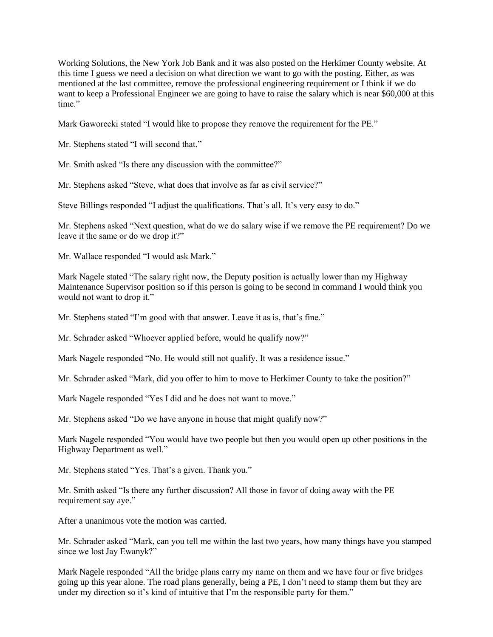Working Solutions, the New York Job Bank and it was also posted on the Herkimer County website. At this time I guess we need a decision on what direction we want to go with the posting. Either, as was mentioned at the last committee, remove the professional engineering requirement or I think if we do want to keep a Professional Engineer we are going to have to raise the salary which is near \$60,000 at this time."

Mark Gaworecki stated "I would like to propose they remove the requirement for the PE."

Mr. Stephens stated "I will second that."

Mr. Smith asked "Is there any discussion with the committee?"

Mr. Stephens asked "Steve, what does that involve as far as civil service?"

Steve Billings responded "I adjust the qualifications. That's all. It's very easy to do."

Mr. Stephens asked "Next question, what do we do salary wise if we remove the PE requirement? Do we leave it the same or do we drop it?"

Mr. Wallace responded "I would ask Mark."

Mark Nagele stated "The salary right now, the Deputy position is actually lower than my Highway Maintenance Supervisor position so if this person is going to be second in command I would think you would not want to drop it."

Mr. Stephens stated "I'm good with that answer. Leave it as is, that's fine."

Mr. Schrader asked "Whoever applied before, would he qualify now?"

Mark Nagele responded "No. He would still not qualify. It was a residence issue."

Mr. Schrader asked "Mark, did you offer to him to move to Herkimer County to take the position?"

Mark Nagele responded "Yes I did and he does not want to move."

Mr. Stephens asked "Do we have anyone in house that might qualify now?"

Mark Nagele responded "You would have two people but then you would open up other positions in the Highway Department as well."

Mr. Stephens stated "Yes. That's a given. Thank you."

Mr. Smith asked "Is there any further discussion? All those in favor of doing away with the PE requirement say aye."

After a unanimous vote the motion was carried.

Mr. Schrader asked "Mark, can you tell me within the last two years, how many things have you stamped since we lost Jay Ewanyk?"

Mark Nagele responded "All the bridge plans carry my name on them and we have four or five bridges going up this year alone. The road plans generally, being a PE, I don't need to stamp them but they are under my direction so it's kind of intuitive that I'm the responsible party for them."